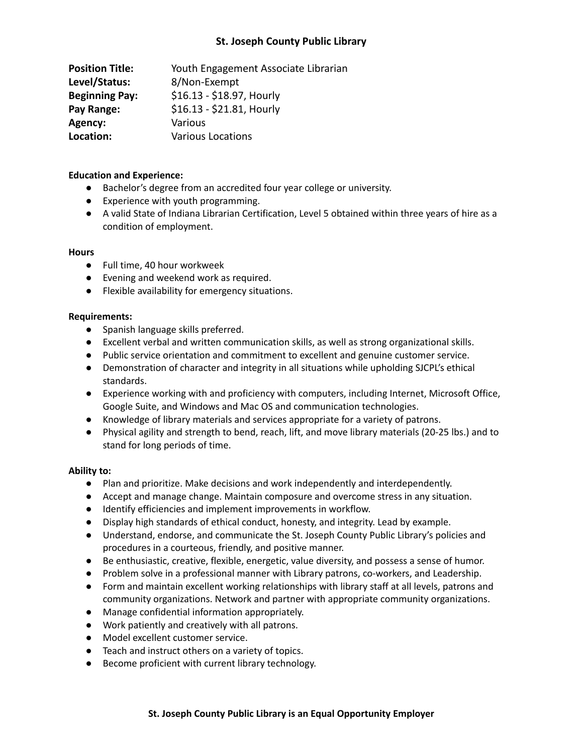# **St. Joseph County Public Library**

| <b>Position Title:</b> | Youth Engagement Associate Librarian |
|------------------------|--------------------------------------|
| Level/Status:          | 8/Non-Exempt                         |
| <b>Beginning Pay:</b>  | \$16.13 - \$18.97, Hourly            |
| Pay Range:             | \$16.13 - \$21.81, Hourly            |
| Agency:                | Various                              |
| Location:              | <b>Various Locations</b>             |

### **Education and Experience:**

- Bachelor's degree from an accredited four year college or university.
- Experience with youth programming.
- A valid State of Indiana Librarian Certification, Level 5 obtained within three years of hire as a condition of employment.

#### **Hours**

- Full time, 40 hour workweek
- Evening and weekend work as required.
- Flexible availability for emergency situations.

#### **Requirements:**

- Spanish language skills preferred.
- Excellent verbal and written communication skills, as well as strong organizational skills.
- Public service orientation and commitment to excellent and genuine customer service.
- Demonstration of character and integrity in all situations while upholding SJCPL's ethical standards.
- Experience working with and proficiency with computers, including Internet, Microsoft Office, Google Suite, and Windows and Mac OS and communication technologies.
- Knowledge of library materials and services appropriate for a variety of patrons.
- Physical agility and strength to bend, reach, lift, and move library materials (20-25 lbs.) and to stand for long periods of time.

## **Ability to:**

- Plan and prioritize. Make decisions and work independently and interdependently.
- Accept and manage change. Maintain composure and overcome stress in any situation.
- Identify efficiencies and implement improvements in workflow.
- Display high standards of ethical conduct, honesty, and integrity. Lead by example.
- Understand, endorse, and communicate the St. Joseph County Public Library's policies and procedures in a courteous, friendly, and positive manner.
- Be enthusiastic, creative, flexible, energetic, value diversity, and possess a sense of humor.
- Problem solve in a professional manner with Library patrons, co-workers, and Leadership.
- Form and maintain excellent working relationships with library staff at all levels, patrons and community organizations. Network and partner with appropriate community organizations.
- Manage confidential information appropriately.
- Work patiently and creatively with all patrons.
- Model excellent customer service.
- Teach and instruct others on a variety of topics.
- Become proficient with current library technology.